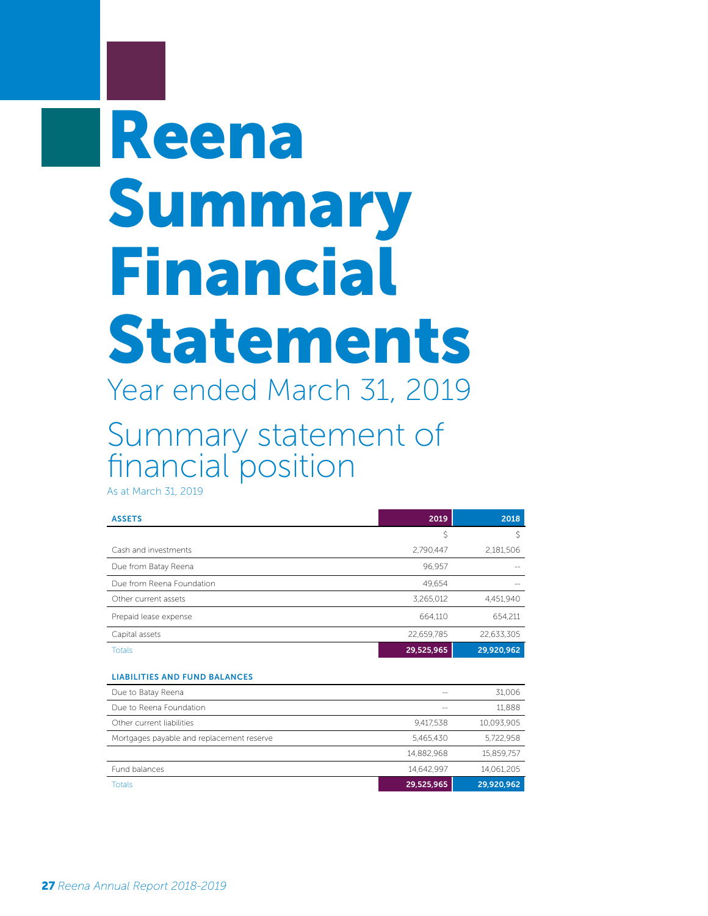## Reena Summary Financial Statements Year ended March 31, 2019

Summary statement of financial position

As at March 31, 2019

| <b>ASSETS</b>             | 2019       | 2018       |
|---------------------------|------------|------------|
|                           | S          |            |
| Cash and investments      | 2,790,447  | 2,181,506  |
| Due from Batay Reena      | 96.957     |            |
| Due from Reena Foundation | 49.654     |            |
| Other current assets      | 3.265.012  | 4,451,940  |
| Prepaid lease expense     | 664.110    | 654.211    |
| Capital assets            | 22.659.785 | 22.633.305 |
| <b>Totals</b>             | 29,525,965 | 29,920,962 |

## LIABILITIES AND FUND BALANCES

| Due to Batay Reena                        |            | 31.006     |
|-------------------------------------------|------------|------------|
| Due to Reena Foundation                   | $-$        | 11,888     |
| Other current liabilities                 | 9.417.538  | 10.093.905 |
| Mortgages payable and replacement reserve | 5.465.430  | 5.722.958  |
|                                           | 14.882.968 | 15.859.757 |
| Fund balances                             | 14.642.997 | 14.061.205 |
| <b>Totals</b>                             | 29,525,965 | 29,920,962 |